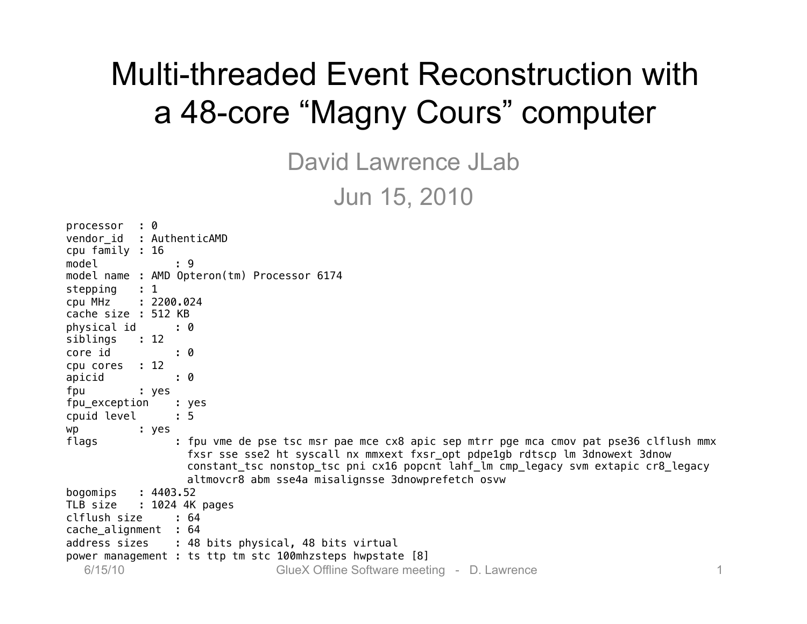### Multi-threaded Event Reconstruction with a 48-core "Magny Cours" computer

David Lawrence JLab Jun 15, 2010

| $\cdot$ 0<br>processor                                                                         |
|------------------------------------------------------------------------------------------------|
| vendor_id : AuthenticAMD                                                                       |
| cpu family : 16                                                                                |
| model<br>: 9                                                                                   |
| model name : AMD Opteron(tm) Processor 6174                                                    |
| $\therefore$ 1<br>stepping                                                                     |
| cpu MHz<br>: 2200.024                                                                          |
| cache size : 512 KB                                                                            |
| physical id<br>: 0                                                                             |
| siblings<br>$\therefore$ 12                                                                    |
| core id<br>$\cdot$ 0                                                                           |
| cpu cores : 12                                                                                 |
| apicid<br>: 0                                                                                  |
| fpu<br>: yes                                                                                   |
| fpu_exception<br>: yes                                                                         |
| cpuid level<br>$\therefore$ 5                                                                  |
| wp<br>: yes                                                                                    |
| flags<br>: fpu vme de pse tsc msr pae mce cx8 apic sep mtrr pge mca cmov pat pse36 clflush mmx |
| fxsr sse sse2 ht syscall nx mmxext fxsr_opt pdpe1gb rdtscp lm 3dnowext 3dnow                   |
| constant_tsc nonstop_tsc pni cx16 popcnt lahf_lm cmp_legacy svm extapic cr8_legacy             |
| altmovcr8 abm sse4a misalignsse 3dnowprefetch osvw                                             |
| : 4403.52<br>bogomips                                                                          |
| TLB size : 1024 4K pages                                                                       |
| clflush size<br>: 64                                                                           |
| cache_alignment : 64                                                                           |
| address sizes : 48 bits physical, 48 bits virtual                                              |
| power management : ts ttp tm stc 100mhzsteps hwpstate [8]                                      |
| 6/15/10<br>GlueX Offline Software meeting - D. Lawrence<br>1.                                  |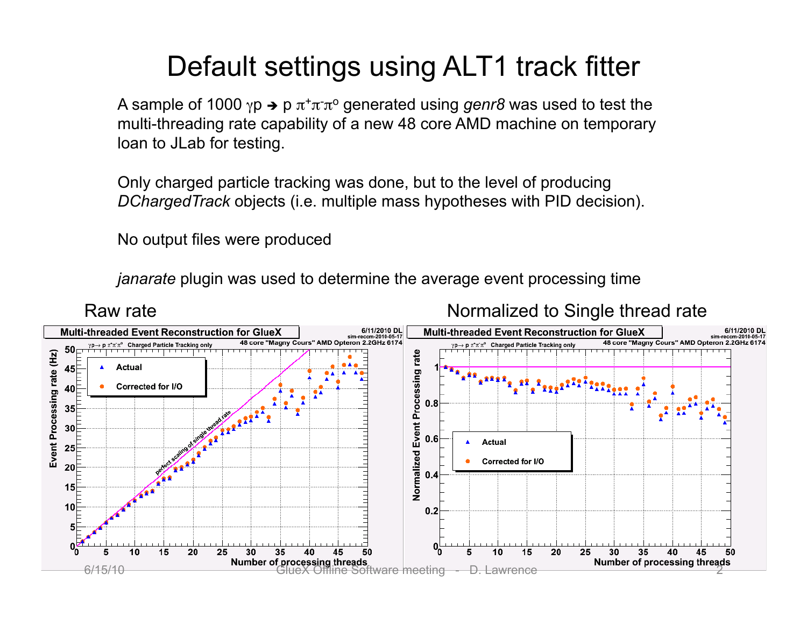### Default settings using ALT1 track fitter

A sample of 1000 γp → p π<sup>+</sup>π<sup>-</sup>π<sup>o</sup> generated using *genr8* was used to test the multi-threading rate capability of a new 48 core AMD machine on temporary loan to JLab for testing.

Only charged particle tracking was done, but to the level of producing *DChargedTrack* objects (i.e. multiple mass hypotheses with PID decision).

No output files were produced

*janarate* plugin was used to determine the average event processing time

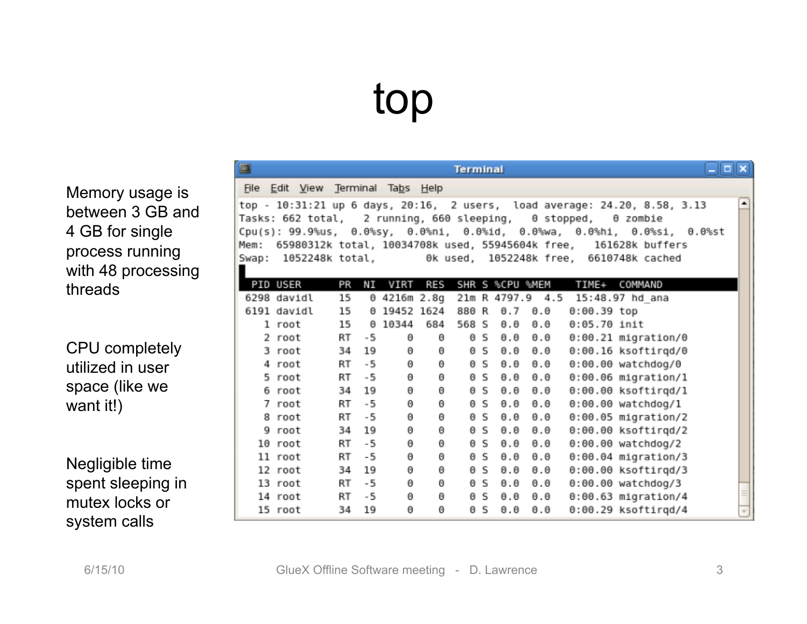# top

Memory usage is between 3 GB and 4 GB for single process running with 48 processing threads

S

CPU completely utilized in user space (like we want it!)

Negligible time spent sleeping in mutex locks or system calls

| 3    |                                                           |    |     |              |     | <b>Terminal</b> |    |                     |                     |                |                                                                                                                                                                                                                                                                                                                                | $\Box$ $\times$ |                          |
|------|-----------------------------------------------------------|----|-----|--------------|-----|-----------------|----|---------------------|---------------------|----------------|--------------------------------------------------------------------------------------------------------------------------------------------------------------------------------------------------------------------------------------------------------------------------------------------------------------------------------|-----------------|--------------------------|
|      | File Edit View Terminal Tabs Help                         |    |     |              |     |                 |    |                     |                     |                |                                                                                                                                                                                                                                                                                                                                |                 |                          |
| 1em: | Tasks: 662 total,   2 running, 660 sleeping,   0 stopped, |    |     |              |     |                 |    |                     |                     |                | top - 10:31:21 up 6 days, 20:16,  2 users,  load average: 24.20, 8.58, 3.13<br>0 zombie<br>:pu(s): 99.9%us,  0.0%sy,  0.0%ni,  0.0%id,  0.0%wa,  0.0%hi,  0.0%si,  0.0%st<br>65980312k total, 10034708k used, 55945604k free, 161628k buffers<br>Gwap: 1052248k total,               0k used,  1052248k free,  6610748k cached |                 | ٠                        |
|      | PID USER                                                  | PR | ΝI  | VIRT         | RES |                 |    |                     | SHR S %CPU %MEM     |                | TIME+ COMMAND                                                                                                                                                                                                                                                                                                                  |                 |                          |
|      | 6298 davidl                                               | 15 |     | 0 4216m 2.8g |     |                 |    |                     |                     |                | 21m R 4797.9 4.5 15:48.97 hd ana                                                                                                                                                                                                                                                                                               |                 |                          |
|      | 6191 davidl                                               | 15 |     | 0 19452 1624 |     | 880 R           |    | $\theta.7$          | $\theta$ . $\theta$ | $0:00.39$ top  |                                                                                                                                                                                                                                                                                                                                |                 |                          |
|      | 1 root                                                    | 15 | Θ   | 10344        | 684 | 568 S           |    | $\theta$ . $\theta$ | $\theta$ . $\theta$ | $0:05.70$ init |                                                                                                                                                                                                                                                                                                                                |                 |                          |
|      | 2 root                                                    | RT | -5  | Θ            | Θ   |                 | ΘS | $\theta$ . $\theta$ | $\Theta$ . $\Theta$ |                | $0:00.21$ migration/0                                                                                                                                                                                                                                                                                                          |                 |                          |
|      | 3 root                                                    | 34 | 19  | Θ            | Θ   |                 | ΘS | $\theta$ . $\theta$ | $\theta$ . $\theta$ |                | $0:00.16$ ksoftirgd/0                                                                                                                                                                                                                                                                                                          |                 |                          |
|      | 4 root                                                    | RT | - 5 | Θ            | Θ   |                 | ΘS | $\theta$ . $\theta$ | $\theta$ . $\theta$ |                | $0:00.00$ watchdog/0                                                                                                                                                                                                                                                                                                           |                 |                          |
|      | 5 root                                                    | RT | - 5 | Θ            | Θ   | Θ               | S  | $\theta$ . $\theta$ | $\theta$ . $\theta$ |                | $0:00.06$ migration/l                                                                                                                                                                                                                                                                                                          |                 |                          |
|      | 6 root                                                    | 34 | 19  | Θ            | Θ   |                 | ΘS | $\theta$ . $\theta$ | $\theta$ . $\theta$ |                | $0:00.00$ ksoftirgd/l                                                                                                                                                                                                                                                                                                          |                 |                          |
|      | 7 root                                                    | RT | - 5 | Θ            | Θ   |                 | ΘS | $\theta$ . $\theta$ | $\theta$ . $\theta$ |                | $0:00.00$ watchdog/1                                                                                                                                                                                                                                                                                                           |                 |                          |
|      | 8 root                                                    | RT | - 5 | Θ            | Θ   |                 | ΘS | $\theta$ . $\theta$ | $\theta$ . $\theta$ |                | 0:00.05 migration/2                                                                                                                                                                                                                                                                                                            |                 |                          |
|      | 9 root                                                    | 34 | 19  | Θ            | Θ   | Θ               | S  | $\theta$ . $\theta$ | $\theta$ . $\theta$ |                | $0:00.00$ ksoftirgd/2                                                                                                                                                                                                                                                                                                          |                 |                          |
|      | $10$ root                                                 | RT | - 5 | Θ            | Θ   | Θ               | S  | $\theta$ . $\theta$ | $\theta$ . $\theta$ |                | $0:00.00$ watchdog/2                                                                                                                                                                                                                                                                                                           |                 |                          |
|      | 11 root                                                   | RT | -5  | Θ            | Θ   |                 | ΘS | $\theta$ . $\theta$ | $\theta$ . $\theta$ |                | $0:00.04$ migration/3                                                                                                                                                                                                                                                                                                          |                 |                          |
|      | 12 root                                                   | 34 | 19  | Θ            | Θ   |                 | ΘS | $\theta$ . $\theta$ | $\theta$ . $\theta$ |                | $0:00.00$ ksoftirqd/3                                                                                                                                                                                                                                                                                                          |                 |                          |
|      | 13 root                                                   | RT | -5  | Θ            | Θ   | Θ               | -S | $\theta$ . $\theta$ | $\theta$ . $\theta$ |                | $0:00.00$ watchdog/3                                                                                                                                                                                                                                                                                                           |                 |                          |
|      | 14 root                                                   | RT | -5  | Θ            | Θ   | Θ               | -S | $\theta$ . $\theta$ | $\theta$ . $\theta$ |                | $0:00.63$ migration/4                                                                                                                                                                                                                                                                                                          |                 | Ξ                        |
|      | 15 root                                                   | 34 | 19  | Θ            | Θ   |                 | ΘS | $\theta$ . $\theta$ | $\theta$ . $\theta$ |                | $0:00.29$ ksoftirgd/4                                                                                                                                                                                                                                                                                                          |                 | $\overline{\phantom{a}}$ |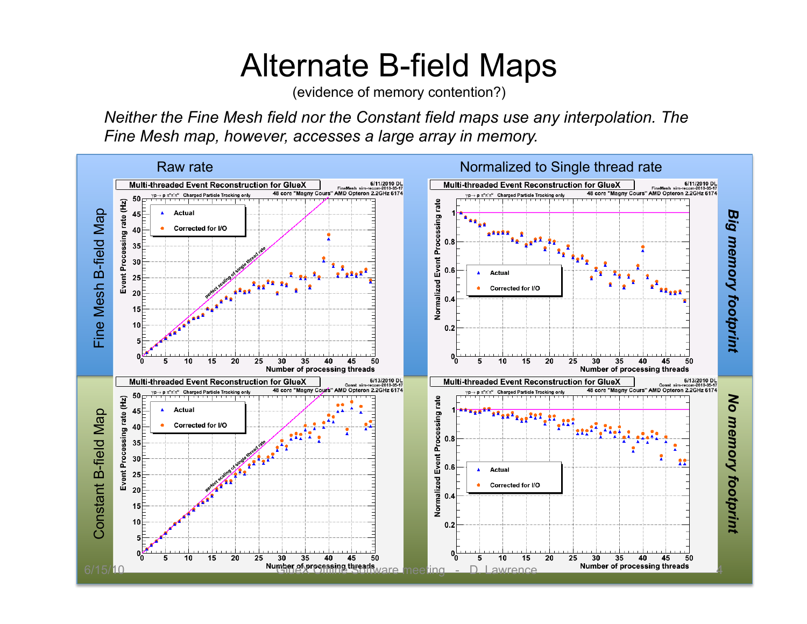### Alternate B-field Maps

(evidence of memory contention?)

*Neither the Fine Mesh field nor the Constant field maps use any interpolation. The Fine Mesh map, however, accesses a large array in memory.* 

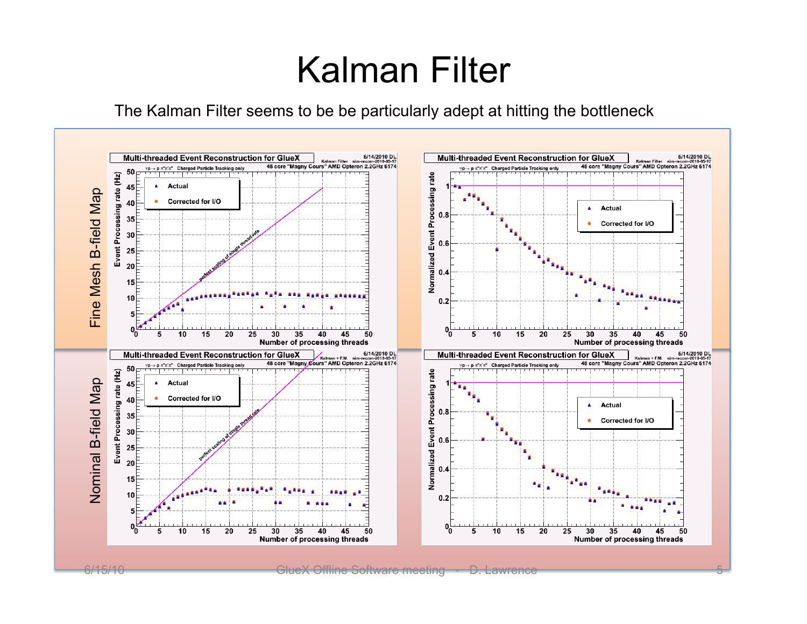## Kalman Filter

The Kalman Filter seems to be be particularly adept at hitting the bottleneck

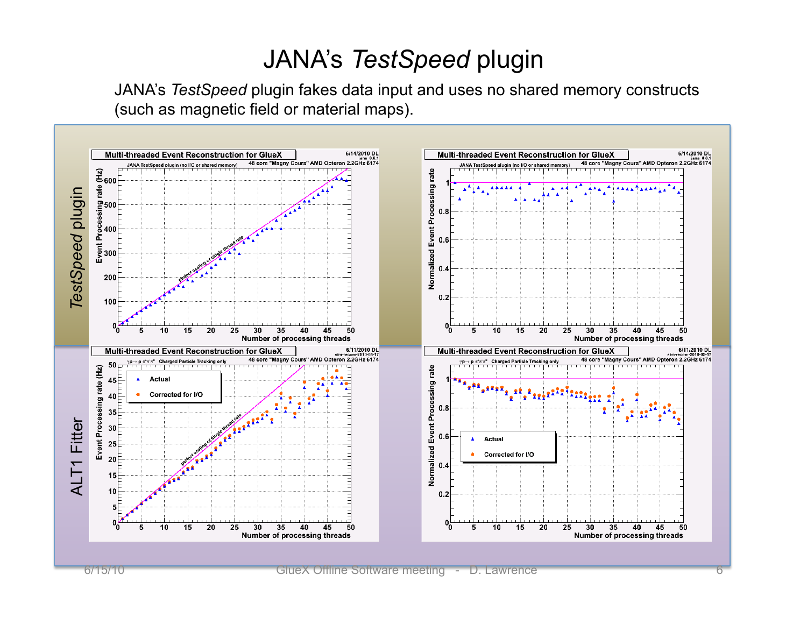#### JANA's *TestSpeed* plugin

JANA's *TestSpeed* plugin fakes data input and uses no shared memory constructs (such as magnetic field or material maps).

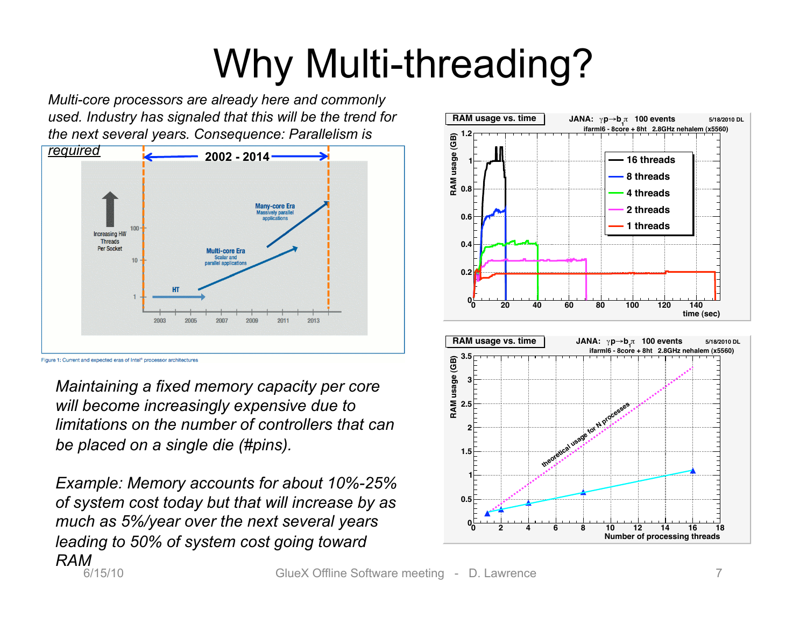# Why Multi-threading?

*Multi-core processors are already here and commonly used. Industry has signaled that this will be the trend for the next several years. Consequence: Parallelism is* 



*Maintaining a fixed memory capacity per core will become increasingly expensive due to limitations on the number of controllers that can be placed on a single die (#pins).* 

6/15/10 GlueX Offline Software meeting - D. Lawrence 7 *Example: Memory accounts for about 10%-25% of system cost today but that will increase by as much as 5%/year over the next several years leading to 50% of system cost going toward RAM* 

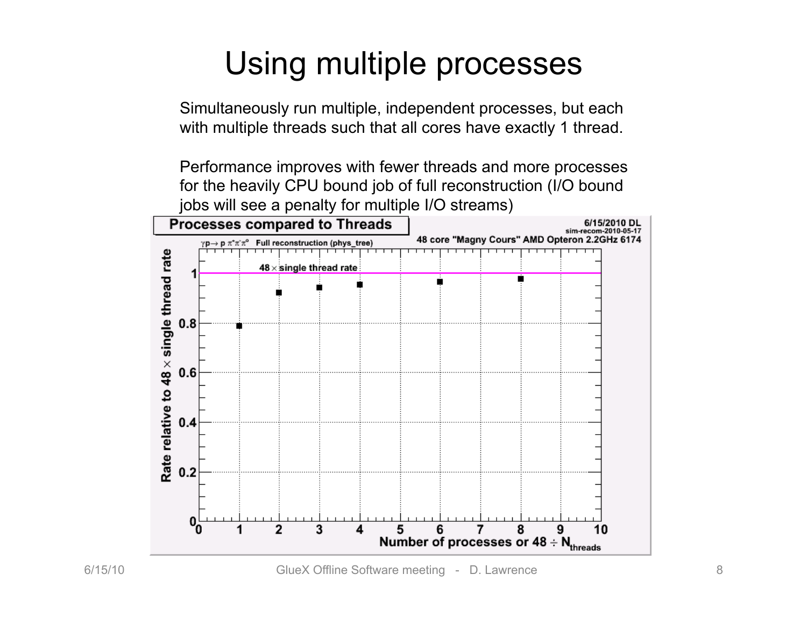## Using multiple processes

Simultaneously run multiple, independent processes, but each with multiple threads such that all cores have exactly 1 thread.

Performance improves with fewer threads and more processes for the heavily CPU bound job of full reconstruction (I/O bound jobs will see a penalty for multiple I/O streams)